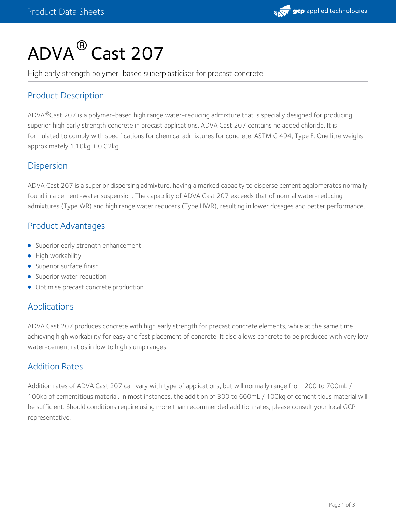

# $\mathsf{ADVA}^\circledR$  Cast 207

High early strength polymer-based superplasticiser for precast concrete

# Product Description

ADVA®Cast 207 is a polymer-based high range water-reducing admixture that is specially designed for producing superior high early strength concrete in precast applications. ADVA Cast 207 contains no added chloride. It is formulated to comply with specifications for chemical admixtures for concrete: ASTM C 494, Type F. One litre weighs approximately  $1.10$ kg  $\pm$  0.02kg.

#### **Dispersion**

ADVA Cast 207 is a superior dispersing admixture, having a marked capacity to disperse cement agglomerates normally found in a cement-water suspension. The capability of ADVA Cast 207 exceeds that of normal water-reducing admixtures (Type WR) and high range water reducers (Type HWR), resulting in lower dosages and better performance.

## Product Advantages

- Superior early strength enhancement
- High workability
- Superior surface finish
- **Superior water reduction**
- Optimise precast concrete production

# Applications

ADVA Cast 207 produces concrete with high early strength for precast concrete elements, while at the same time achieving high workability for easy and fast placement of concrete. It also allows concrete to be produced with very low water-cement ratios in low to high slump ranges.

# Addition Rates

Addition rates of ADVA Cast 207 can vary with type of applications, but will normally range from 200 to 700mL / 100kg of cementitious material. In most instances, the addition of 300 to 600mL / 100kg of cementitious material will be sufficient. Should conditions require using more than recommended addition rates, please consult your local GCP representative.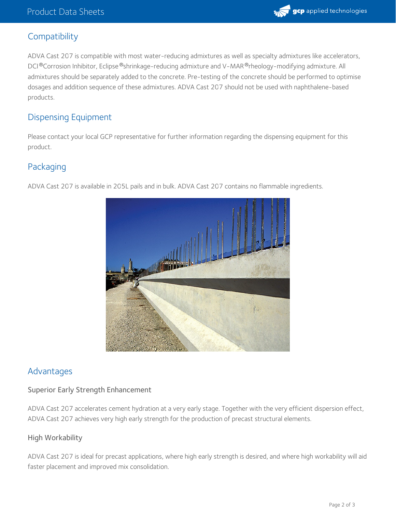

## **Compatibility**

ADVA Cast 207 is compatible with most water-reducing admixtures as well as specialty admixtures like accelerators, DCI®Corrosion Inhibitor, Eclipse®shrinkage-reducing admixture and V-MAR®rheology-modifying admixture. All admixtures should be separately added to the concrete. Pre-testing of the concrete should be performed to optimise dosages and addition sequence of these admixtures. ADVA Cast 207 should not be used with naphthalene-based products.

## Dispensing Equipment

Please contact your local GCP representative for further information regarding the dispensing equipment for this product.

## Packaging

ADVA Cast 207 is available in 205L pails and in bulk. ADVA Cast 207 contains no flammable ingredients.



## Advantages

#### Superior Early Strength Enhancement

ADVA Cast 207 accelerates cement hydration at a very early stage. Together with the very efficient dispersion effect, ADVA Cast 207 achieves very high early strength for the production of precast structural elements.

#### High Workability

ADVA Cast 207 is ideal for precast applications, where high early strength is desired, and where high workability will aid faster placement and improved mix consolidation.